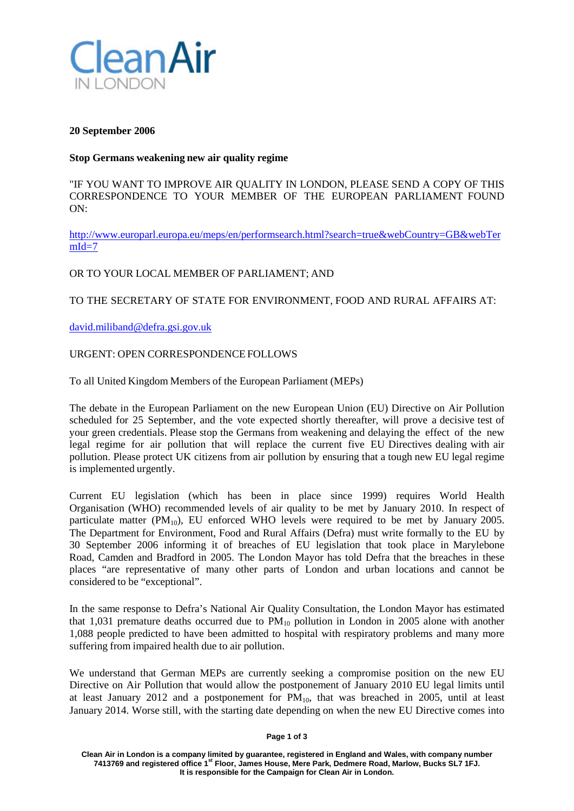

#### **20 September 2006**

## **Stop Germans weakening new air quality regime**

"IF YOU WANT TO IMPROVE AIR QUALITY IN LONDON, PLEASE SEND A COPY OF THIS CORRESPONDENCE TO YOUR MEMBER OF THE EUROPEAN PARLIAMENT FOUND ON:

[http://www.europarl.europa.eu/meps/en/performsearch.html?search=true&webCountry=GB&webTer](http://www.europarl.europa.eu/meps/en/performsearch.html?search=true&webCountry=GB&webTermId=7)  $mId=7$ 

# OR TO YOUR LOCAL MEMBER OF PARLIAMENT; AND

# TO THE SECRETARY OF STATE FOR ENVIRONMENT, FOOD AND RURAL AFFAIRS AT:

[david.miliband@defra.gsi.gov.uk](mailto:david.miliband@defra.gsi.gov.uk)

## URGENT: OPEN CORRESPONDENCE FOLLOWS

To all United Kingdom Members of the European Parliament (MEPs)

The debate in the European Parliament on the new European Union (EU) Directive on Air Pollution scheduled for 25 September, and the vote expected shortly thereafter, will prove a decisive test of your green credentials. Please stop the Germans from weakening and delaying the effect of the new legal regime for air pollution that will replace the current five EU Directives dealing with air pollution. Please protect UK citizens from air pollution by ensuring that a tough new EU legal regime is implemented urgently.

Current EU legislation (which has been in place since 1999) requires World Health Organisation (WHO) recommended levels of air quality to be met by January 2010. In respect of particulate matter  $(PM_{10})$ , EU enforced WHO levels were required to be met by January 2005. The Department for Environment, Food and Rural Affairs (Defra) must write formally to the EU by 30 September 2006 informing it of breaches of EU legislation that took place in Marylebone Road, Camden and Bradford in 2005. The London Mayor has told Defra that the breaches in these places "are representative of many other parts of London and urban locations and cannot be considered to be "exceptional".

In the same response to Defra's National Air Quality Consultation, the London Mayor has estimated that 1,031 premature deaths occurred due to  $PM_{10}$  pollution in London in 2005 alone with another 1,088 people predicted to have been admitted to hospital with respiratory problems and many more suffering from impaired health due to air pollution.

We understand that German MEPs are currently seeking a compromise position on the new EU Directive on Air Pollution that would allow the postponement of January 2010 EU legal limits until at least January 2012 and a postponement for  $PM_{10}$ , that was breached in 2005, until at least January 2014. Worse still, with the starting date depending on when the new EU Directive comes into

#### **Page 1 of 3**

**Clean Air in London is a company limited by guarantee, registered in England and Wales, with company number 7413769 and registered office 1st Floor, James House, Mere Park, Dedmere Road, Marlow, Bucks SL7 1FJ. It is responsible for the Campaign for Clean Air in London.**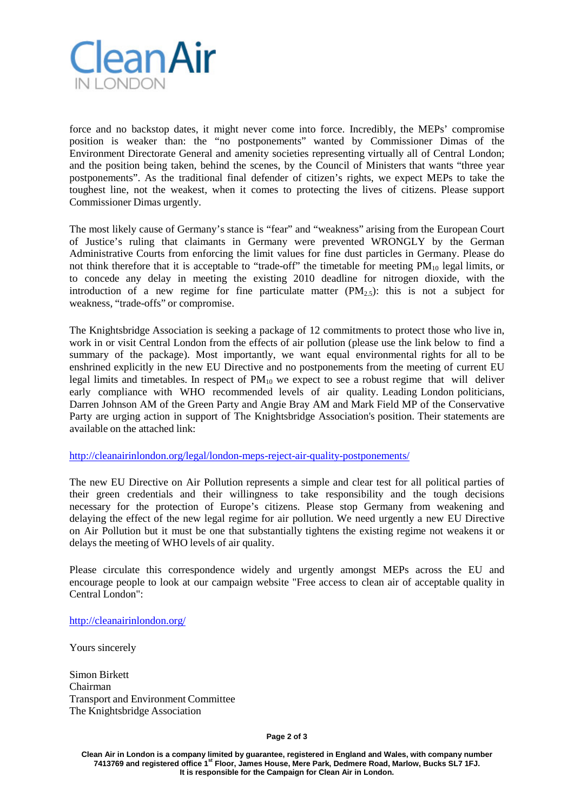

force and no backstop dates, it might never come into force. Incredibly, the MEPs' compromise position is weaker than: the "no postponements" wanted by Commissioner Dimas of the Environment Directorate General and amenity societies representing virtually all of Central London; and the position being taken, behind the scenes, by the Council of Ministers that wants "three year postponements". As the traditional final defender of citizen's rights, we expect MEPs to take the toughest line, not the weakest, when it comes to protecting the lives of citizens. Please support Commissioner Dimas urgently.

The most likely cause of Germany's stance is "fear" and "weakness" arising from the European Court of Justice's ruling that claimants in Germany were prevented WRONGLY by the German Administrative Courts from enforcing the limit values for fine dust particles in Germany. Please do not think therefore that it is acceptable to "trade-off" the timetable for meeting  $PM_{10}$  legal limits, or to concede any delay in meeting the existing 2010 deadline for nitrogen dioxide, with the introduction of a new regime for fine particulate matter  $(PM<sub>2.5</sub>)$ : this is not a subject for weakness, "trade-offs" or compromise.

The Knightsbridge Association is seeking a package of 12 commitments to protect those who live in, work in or visit Central London from the effects of air pollution (please use the link below to find a summary of the package). Most importantly, we want equal environmental rights for all to be enshrined explicitly in the new EU Directive and no postponements from the meeting of current EU legal limits and timetables. In respect of  $PM_{10}$  we expect to see a robust regime that will deliver early compliance with WHO recommended levels of air quality. Leading London politicians, Darren Johnson AM of the Green Party and Angie Bray AM and Mark Field MP of the Conservative Party are urging action in support of The Knightsbridge Association's position. Their statements are available on the attached link:

[http://cleanairinlondon.org/legal/london-meps-reject-air-quality-postponements/](http://cleanair.webdev5.co.uk/legal/london-meps-reject-air-quality-postponements/)

The new EU Directive on Air Pollution represents a simple and clear test for all political parties of their green credentials and their willingness to take responsibility and the tough decisions necessary for the protection of Europe's citizens. Please stop Germany from weakening and delaying the effect of the new legal regime for air pollution. We need urgently a new EU Directive on Air Pollution but it must be one that substantially tightens the existing regime not weakens it or delays the meeting of WHO levels of air quality.

Please circulate this correspondence widely and urgently amongst MEPs across the EU and encourage people to look at our campaign website "Free access to clean air of acceptable quality in Central London":

<http://cleanairinlondon.org/>

Yours sincerely

Simon Birkett Chairman Transport and Environment Committee The Knightsbridge Association

**Page 2 of 3**

**Clean Air in London is a company limited by guarantee, registered in England and Wales, with company number 7413769 and registered office 1st Floor, James House, Mere Park, Dedmere Road, Marlow, Bucks SL7 1FJ. It is responsible for the Campaign for Clean Air in London.**